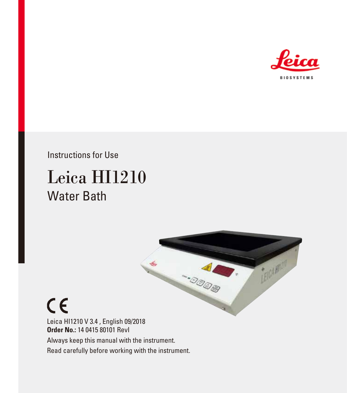

Instructions for Use

 $C<sub>6</sub>$ 

# Leica HI1210 Water Bath



Leica HI1210 V 3.4 , English 09/2018 **Order No.:** 14 0415 80101 RevI Always keep this manual with the instrument. Read carefully before working with the instrument.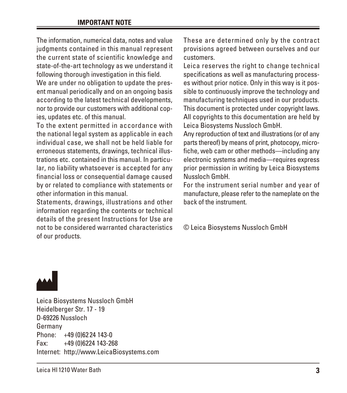The information, numerical data, notes and value judgments contained in this manual represent the current state of scientific knowledge and state-of-the-art technology as we understand it following thorough investigation in this field.

We are under no obligation to update the present manual periodically and on an ongoing basis according to the latest technical developments, nor to provide our customers with additional copies, updates etc. of this manual.

To the extent permitted in accordance with the national legal system as applicable in each individual case, we shall not be held liable for erroneous statements, drawings, technical illustrations etc. contained in this manual. In particular, no liability whatsoever is accepted for any financial loss or consequential damage caused by or related to compliance with statements or other information in this manual.

Statements, drawings, illustrations and other information regarding the contents or technical details of the present Instructions for Use are not to be considered warranted characteristics of our products.

These are determined only by the contract provisions agreed between ourselves and our customers.

Leica reserves the right to change technical specifications as well as manufacturing processes without prior notice. Only in this way is it possible to continuously improve the technology and manufacturing techniques used in our products. This document is protected under copyright laws. All copyrights to this documentation are held by Leica Biosystems Nussloch GmbH.

Any reproduction of text and illustrations (or of any parts thereof) by means of print, photocopy, microfiche, web cam or other methods—including any electronic systems and media—requires express prior permission in writing by Leica Biosystems Nussloch GmbH.

For the instrument serial number and year of manufacture, please refer to the nameplate on the back of the instrument.

© Leica Biosystems Nussloch GmbH



Leica Biosystems Nussloch GmbH Heidelberger Str. 17 - 19 D-69226 Nussloch Germany Phone: +49 (0)62 24 143-0 Fax: +49 (0)6224 143-268 Internet: http://www.LeicaBiosystems.com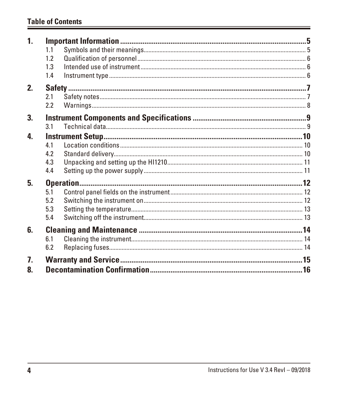## **Table of Contents**

| 1 <sub>1</sub> |     |  |  |  |
|----------------|-----|--|--|--|
|                | 1.1 |  |  |  |
|                | 1.2 |  |  |  |
|                | 1.3 |  |  |  |
|                | 1.4 |  |  |  |
| 2.             |     |  |  |  |
|                | 2.1 |  |  |  |
|                | 2.2 |  |  |  |
| 3.             |     |  |  |  |
|                | 3.1 |  |  |  |
| 4.             |     |  |  |  |
|                | 4.1 |  |  |  |
|                | 4.2 |  |  |  |
|                | 4.3 |  |  |  |
|                | 4.4 |  |  |  |
| 5.             |     |  |  |  |
|                | 5.1 |  |  |  |
|                | 5.2 |  |  |  |
|                | 5.3 |  |  |  |
|                | 5.4 |  |  |  |
| 6.             |     |  |  |  |
|                | 6.1 |  |  |  |
|                | 6.2 |  |  |  |
| 7.             |     |  |  |  |
| 8.             |     |  |  |  |
|                |     |  |  |  |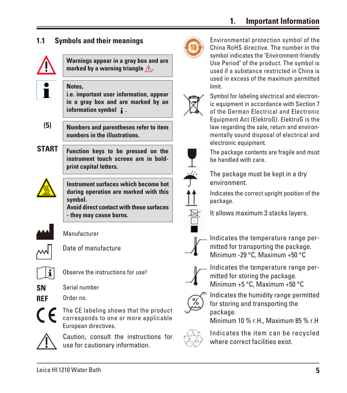## **1. Important Information**

<span id="page-4-0"></span>



Environmental protection symbol of the China RoHS directive. The number in the symbol indicates the "Environment-friendly Use Period" of the product. The symbol is used if a substance restricted in China is used in excess of the maximum permitted limit.



Symbol for labeling electrical and electronic equipment in accordance with Section 7 of the German Electrical and Electronic Equipment Act (ElektroG). ElektroG is the law regarding the sale, return and environmentally sound disposal of electrical and electronic equipment.



The package contents are fragile and must be handled with care.

- The package must be kept in a dry environment.
- Indicates the correct upright position of the package.



It allows maximum 3 stacks layers.



Indicates the temperature range permitted for transporting the package. Minimum -29 °C, Maximum +50 °C



Indicates the temperature range permitted for storing the package. Minimum +5 °C, Maximum +50 °C



Indicates the humidity range permitted for storing and transporting the package.

Minimum 10 % r.H., Maximum 85 % r.H



Indicates the item can be recycled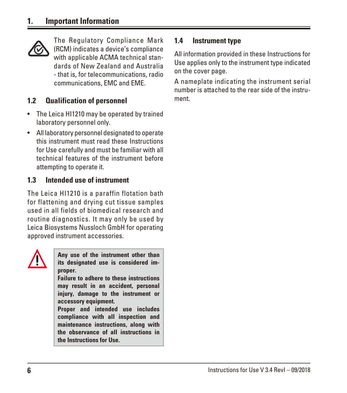<span id="page-5-0"></span>

The Regulatory Compliance Mark (RCM) indicates a device's compliance with applicable ACMA technical standards of New Zealand and Australia - that is, for telecommunications, radio communications, EMC and EME.

## **1.2 Qualification of personnel**

- The Leica HI1210 may be operated by trained laboratory personnel only.
- All laboratory personnel designated to operate this instrument must read these Instructions for Use carefully and must be familiar with all technical features of the instrument before attempting to operate it.

### **1.3 Intended use of instrument**

The Leica HI1210 is a paraffin flotation bath for flattening and drying cut tissue samples used in all fields of biomedical research and routine diagnostics. It may only be used by Leica Biosystems Nussloch GmbH for operating approved instrument accessories.



**Any use of the instrument other than its designated use is considered improper.**

**Failure to adhere to these instructions may result in an accident, personal injury, damage to the instrument or accessory equipment.**

**Proper and intended use includes compliance with all inspection and maintenance instructions, along with the observance of all instructions in the Instructions for Use.**

#### **1.4 Instrument type**

All information provided in these Instructions for Use applies only to the instrument type indicated on the cover page.

A nameplate indicating the instrument serial number is attached to the rear side of the instrument.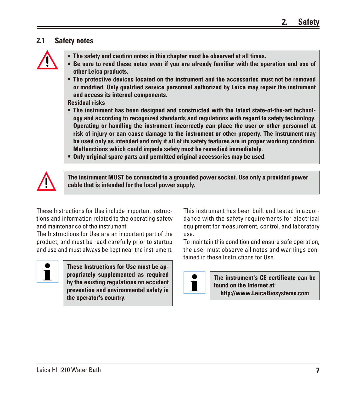#### <span id="page-6-0"></span>**2.1 Safety notes**



- **• The safety and caution notes in this chapter must be observed at all times.**
- **• Be sure to read these notes even if you are already familiar with the operation and use of other Leica products.**
- **• The protective devices located on the instrument and the accessories must not be removed or modified. Only qualified service personnel authorized by Leica may repair the instrument and access its internal components.**

**Residual risks**

- **• The instrument has been designed and constructed with the latest state-of-the-art technology and according to recognized standards and regulations with regard to safety technology. Operating or handling the instrument incorrectly can place the user or other personnel at risk of injury or can cause damage to the instrument or other property. The instrument may be used only as intended and only if all of its safety features are in proper working condition. Malfunctions which could impede safety must be remedied immediately.**
- **• Only original spare parts and permitted original accessories may be used.**



**The instrument MUST be connected to a grounded power socket. Use only a provided power cable that is intended for the local power supply.**

These Instructions for Use include important instructions and information related to the operating safety and maintenance of the instrument.

The Instructions for Use are an important part of the product, and must be read carefully prior to startup and use and must always be kept near the instrument.



**These Instructions for Use must be appropriately supplemented as required by the existing regulations on accident prevention and environmental safety in the operator's country.**

This instrument has been built and tested in accordance with the safety requirements for electrical equipment for measurement, control, and laboratory use.

To maintain this condition and ensure safe operation, the user must observe all notes and warnings contained in these Instructions for Use.



**The instrument's CE certificate can be found on the Internet at: http://www.LeicaBiosystems.com**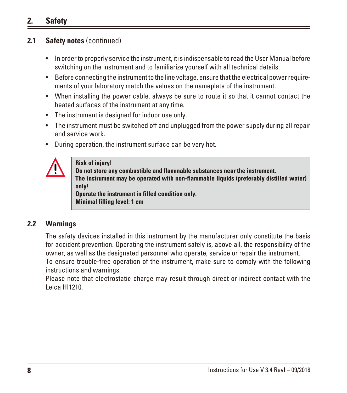## <span id="page-7-0"></span>**2. Safety**

#### **2.1 Safety notes** (continued)

- In order to properly service the instrument, it is indispensable to read the User Manual before switching on the instrument and to familiarize yourself with all technical details.
- Before connecting the instrument to the line voltage, ensure that the electrical power requirements of your laboratory match the values on the nameplate of the instrument.
- When installing the power cable, always be sure to route it so that it cannot contact the heated surfaces of the instrument at any time.
- The instrument is designed for indoor use only.
- The instrument must be switched off and unplugged from the power supply during all repair and service work.
- During operation, the instrument surface can be very hot.



#### **Risk of injury!**

**Do not store any combustible and flammable substances near the instrument. The instrument may be operated with non-flammable liquids (preferably distilled water) only! Operate the instrument in filled condition only. Minimal filling level: 1 cm**

#### **2.2 Warnings**

The safety devices installed in this instrument by the manufacturer only constitute the basis for accident prevention. Operating the instrument safely is, above all, the responsibility of the owner, as well as the designated personnel who operate, service or repair the instrument.

To ensure trouble-free operation of the instrument, make sure to comply with the following instructions and warnings.

Please note that electrostatic charge may result through direct or indirect contact with the Leica HI1210.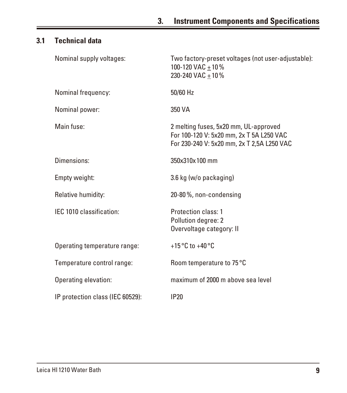## <span id="page-8-0"></span>**3.1 Technical data**

| Nominal supply voltages:         | Two factory-preset voltages (not user-adjustable):<br>100-120 VAC $\pm$ 10 %<br>230-240 VAC + 10 %                              |
|----------------------------------|---------------------------------------------------------------------------------------------------------------------------------|
| Nominal frequency:               | 50/60 Hz                                                                                                                        |
| Nominal power:                   | 350 VA                                                                                                                          |
| Main fuse:                       | 2 melting fuses, 5x20 mm, UL-approved<br>For 100-120 V: 5x20 mm, 2x T 5A L250 VAC<br>For 230-240 V: 5x20 mm, 2x T 2,5A L250 VAC |
| Dimensions:                      | 350x310x100 mm                                                                                                                  |
| Empty weight:                    | 3.6 kg (w/o packaging)                                                                                                          |
| Relative humidity:               | 20-80%, non-condensing                                                                                                          |
| IEC 1010 classification:         | <b>Protection class: 1</b><br>Pollution degree: 2<br>Overvoltage category: II                                                   |
| Operating temperature range:     | +15 $\degree$ C to +40 $\degree$ C                                                                                              |
| Temperature control range:       | Room temperature to 75 °C                                                                                                       |
| Operating elevation:             | maximum of 2000 m above sea level                                                                                               |
| IP protection class (IEC 60529): | <b>IP20</b>                                                                                                                     |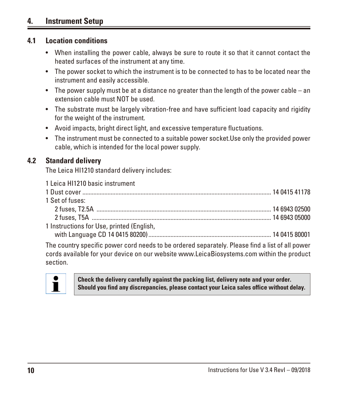## <span id="page-9-0"></span>**4. Instrument Setup**

#### **4.1 Location conditions**

- When installing the power cable, always be sure to route it so that it cannot contact the heated surfaces of the instrument at any time.
- The power socket to which the instrument is to be connected to has to be located near the instrument and easily accessible.
- The power supply must be at a distance no greater than the length of the power cable an extension cable must NOT be used.
- The substrate must be largely vibration-free and have sufficient load capacity and rigidity for the weight of the instrument.
- Avoid impacts, bright direct light, and excessive temperature fluctuations.
- The instrument must be connected to a suitable power socket.Use only the provided power cable, which is intended for the local power supply.

#### **4.2 Standard delivery**

The Leica HI1210 standard delivery includes:

| 1 Leica HI1210 basic instrument           |  |  |  |  |
|-------------------------------------------|--|--|--|--|
|                                           |  |  |  |  |
| 1 Set of fuses:                           |  |  |  |  |
|                                           |  |  |  |  |
|                                           |  |  |  |  |
| 1 Instructions for Use, printed (English, |  |  |  |  |
|                                           |  |  |  |  |

The country specific power cord needs to be ordered separately. Please find a list of all power cords available for your device on our website www.LeicaBiosystems.com within the product section.



**Check the delivery carefully against the packing list, delivery note and your order. Should you find any discrepancies, please contact your Leica sales office without delay.**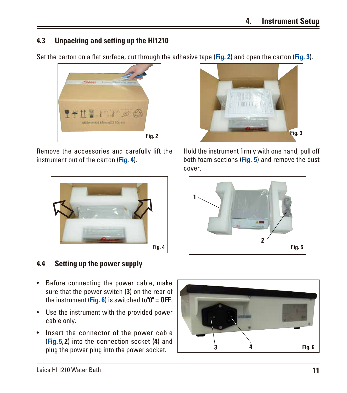## <span id="page-10-0"></span>**4.3 Unpacking and setting up the HI1210**

Set the carton on a flat surface, cut through the adhesive tape (**Fig. 2**) and open the carton (**Fig. 3**).



Remove the accessories and carefully lift the instrument out of the carton (**Fig. 4**).



**4.4 Setting up the power supply**

- Before connecting the power cable, make sure that the power switch (**3**) on the rear of the instrument (**Fig. 6**) is switched to"**0**" = **OFF**.
- Use the instrument with the provided power cable only.
- Insert the connector of the power cable (**Fig. 5**, **2**) into the connection socket (**4**) and plug the power plug into the power socket.





Hold the instrument firmly with one hand, pull off both foam sections (**Fig. 5**) and remove the dust cover.

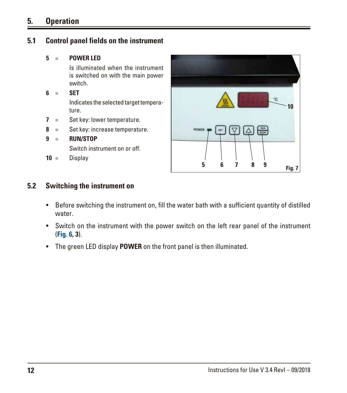## <span id="page-11-0"></span>**5. Operation**

#### **5.1 Control panel fields on the instrument**

#### **5** = **POWER LED**

 Is illuminated when the instrument is switched on with the main power switch.

**6** = **SET**

 Indicates the selected target temperature.

- **7** = Set key: lower temperature.
- **8** = Set key: increase temperature.
- **9** = **RUN/STOP** Switch instrument on or off.
- **10** = Display



#### **5.2 Switching the instrument on**

- Before switching the instrument on, fill the water bath with a sufficient quantity of distilled water.
- Switch on the instrument with the power switch on the left rear panel of the instrument (**Fig. 6, 3**).
- The green LED display **POWER** on the front panel is then illuminated.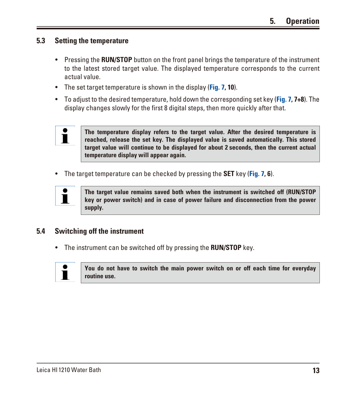#### <span id="page-12-0"></span>**5.3 Setting the temperature**

- Pressing the **RUN/STOP** button on the front panel brings the temperature of the instrument to the latest stored target value. The displayed temperature corresponds to the current actual value.
- The set target temperature is shown in the display (**Fig. 7, 10**).
- To adjust to the desired temperature, hold down the corresponding set key (**Fig. 7, 7+8**). The display changes slowly for the first 8 digital steps, then more quickly after that.



**The temperature display refers to the target value. After the desired temperature is reached, release the set key. The displayed value is saved automatically. This stored target value will continue to be displayed for about 2 seconds, then the current actual temperature display will appear again.**

• The target temperature can be checked by pressing the **SET** key (**Fig. 7, 6**).



**The target value remains saved both when the instrument is switched off (RUN/STOP key or power switch) and in case of power failure and disconnection from the power supply.**

#### **5.4 Switching off the instrument**

• The instrument can be switched off by pressing the **RUN/STOP** key.



**You do not have to switch the main power switch on or off each time for everyday routine use.**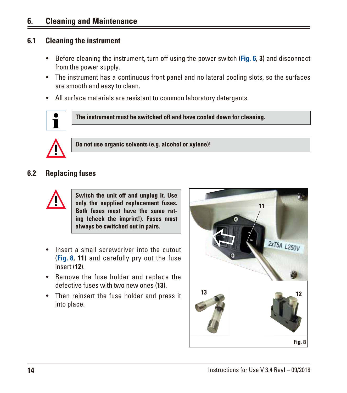## <span id="page-13-0"></span>**6. Cleaning and Maintenance**

#### **6.1 Cleaning the instrument**

- Before cleaning the instrument, turn off using the power switch (**Fig. 6, 3**) and disconnect from the power supply.
- The instrument has a continuous front panel and no lateral cooling slots, so the surfaces are smooth and easy to clean.
- All surface materials are resistant to common laboratory detergents.



**The instrument must be switched off and have cooled down for cleaning.**



**Do not use organic solvents (e.g. alcohol or xylene)!**

#### **6.2 Replacing fuses**



**Switch the unit off and unplug it. Use only the supplied replacement fuses. Both fuses must have the same rating (check the imprint!). Fuses must always be switched out in pairs.**

- Insert a small screwdriver into the cutout (**Fig. 8, 11**) and carefully pry out the fuse insert (**12**).
- Remove the fuse holder and replace the defective fuses with two new ones (**13**).
- Then reinsert the fuse holder and press it into place.

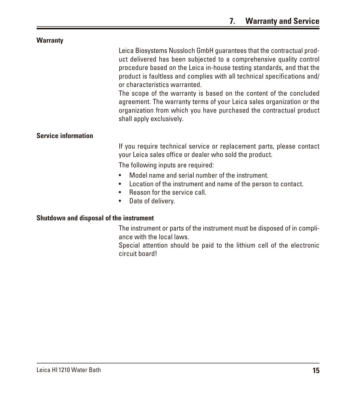<span id="page-14-0"></span>

| <b>Warranty</b>                         |                                                                                                                                                                                                                                                                                                                                                                                                                                                                                                                                                                                    |  |
|-----------------------------------------|------------------------------------------------------------------------------------------------------------------------------------------------------------------------------------------------------------------------------------------------------------------------------------------------------------------------------------------------------------------------------------------------------------------------------------------------------------------------------------------------------------------------------------------------------------------------------------|--|
|                                         | Leica Biosystems Nussloch GmbH guarantees that the contractual prod-<br>uct delivered has been subjected to a comprehensive quality control<br>procedure based on the Leica in-house testing standards, and that the<br>product is faultless and complies with all technical specifications and/<br>or characteristics warranted.<br>The scope of the warranty is based on the content of the concluded<br>agreement. The warranty terms of your Leica sales organization or the<br>organization from which you have purchased the contractual product<br>shall apply exclusively. |  |
| <b>Service information</b>              |                                                                                                                                                                                                                                                                                                                                                                                                                                                                                                                                                                                    |  |
|                                         | If you require technical service or replacement parts, please contact<br>your Leica sales office or dealer who sold the product.                                                                                                                                                                                                                                                                                                                                                                                                                                                   |  |
|                                         | The following inputs are required:                                                                                                                                                                                                                                                                                                                                                                                                                                                                                                                                                 |  |
|                                         | Model name and serial number of the instrument.<br>$\bullet$<br>Location of the instrument and name of the person to contact.<br>$\bullet$<br>Reason for the service call.<br>$\bullet$<br>Date of delivery.<br>$\bullet$                                                                                                                                                                                                                                                                                                                                                          |  |
| Shutdown and disposal of the instrument |                                                                                                                                                                                                                                                                                                                                                                                                                                                                                                                                                                                    |  |
|                                         | The instrument or parts of the instrument must be disposed of in compli-                                                                                                                                                                                                                                                                                                                                                                                                                                                                                                           |  |

ance with the local laws. Special attention should be paid to the lithium cell of the electronic

circuit board!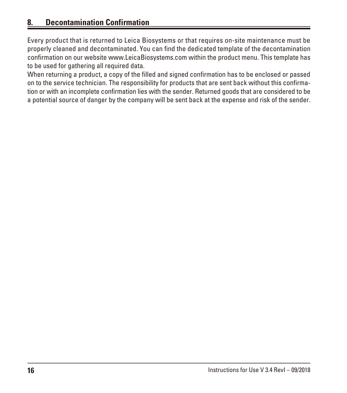## <span id="page-15-0"></span>**8. Decontamination Confirmation**

Every product that is returned to Leica Biosystems or that requires on-site maintenance must be properly cleaned and decontaminated. You can find the dedicated template of the decontamination confirmation on our website www.LeicaBiosystems.com within the product menu. This template has to be used for gathering all required data.

When returning a product, a copy of the filled and signed confirmation has to be enclosed or passed on to the service technician. The responsibility for products that are sent back without this confirmation or with an incomplete confirmation lies with the sender. Returned goods that are considered to be a potential source of danger by the company will be sent back at the expense and risk of the sender.